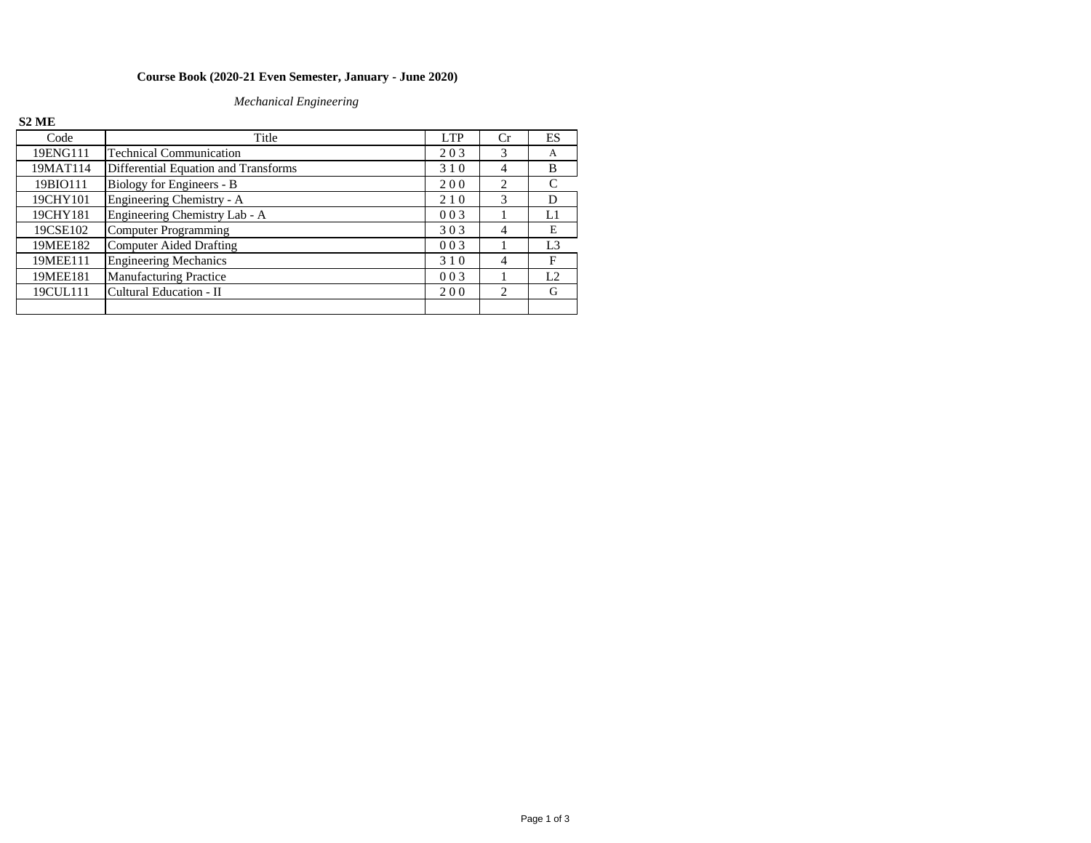## **Course Book (2020-21 Even Semester, January - June 2020)**

## *Mechanical Engineering*

## **S2 ME**

| Code     | Title                                | <b>LTP</b> | Cr                          | ES             |
|----------|--------------------------------------|------------|-----------------------------|----------------|
| 19ENG111 | <b>Technical Communication</b>       | 203        | $\mathcal{R}$               | A              |
| 19MAT114 | Differential Equation and Transforms | 310        | 4                           | B              |
| 19BIO111 | Biology for Engineers - B            | 200        | $\mathcal{L}$               |                |
| 19CHY101 | Engineering Chemistry - A            | 210        | 3                           | D              |
| 19CHY181 | Engineering Chemistry Lab - A        | 003        |                             | L1             |
| 19CSE102 | Computer Programming                 | 303        | 4                           | E              |
| 19MEE182 | Computer Aided Drafting              | 003        |                             | L <sub>3</sub> |
| 19MEE111 | <b>Engineering Mechanics</b>         | 310        | $\overline{4}$              | F              |
| 19MEE181 | <b>Manufacturing Practice</b>        | 003        |                             | L <sub>2</sub> |
| 19CUL111 | Cultural Education - II              | 200        | $\mathcal{D}_{\mathcal{L}}$ | G              |
|          |                                      |            |                             |                |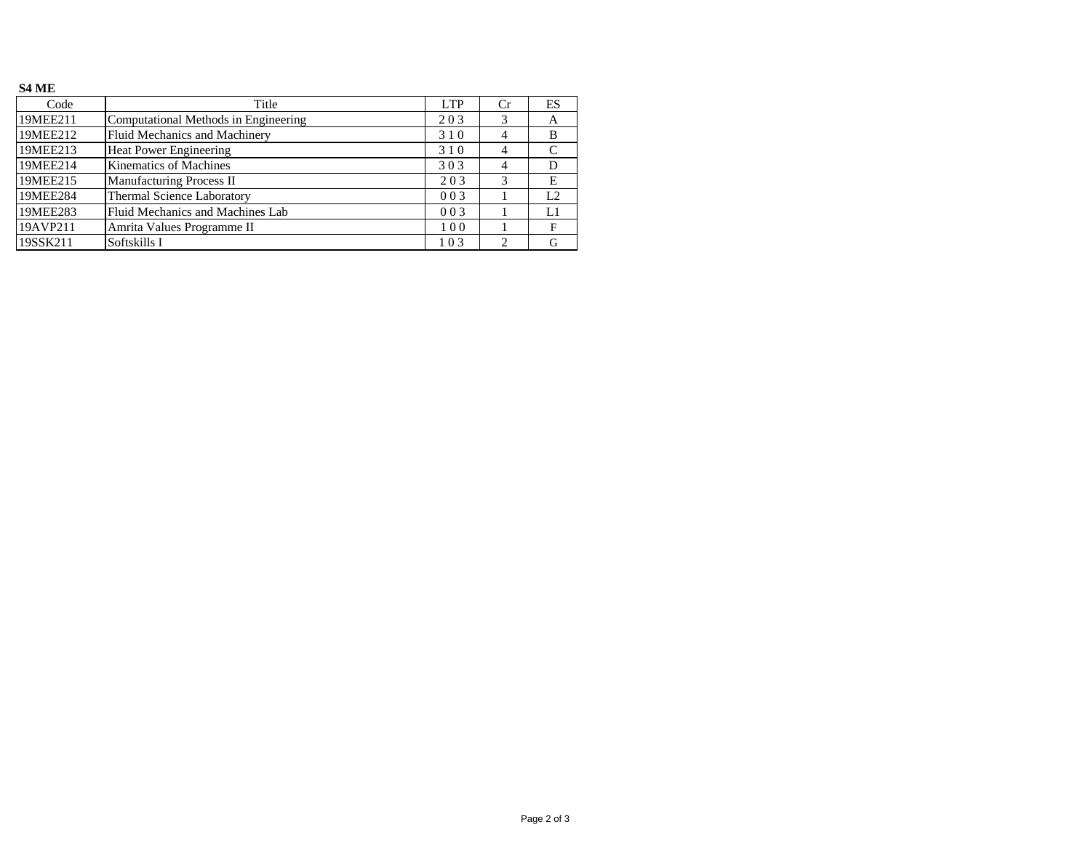## **S4 ME**

| Code     | Title                                | LTP | Cr             | ES |
|----------|--------------------------------------|-----|----------------|----|
| 19MEE211 | Computational Methods in Engineering | 203 |                | А  |
| 19MEE212 | Fluid Mechanics and Machinery        | 310 | $\overline{4}$ | B  |
| 19MEE213 | <b>Heat Power Engineering</b>        | 310 | $\overline{4}$ | C  |
| 19MEE214 | <b>Kinematics of Machines</b>        | 303 | 4              | D  |
| 19MEE215 | <b>Manufacturing Process II</b>      | 203 | 3              | E  |
| 19MEE284 | Thermal Science Laboratory           | 003 |                | L2 |
| 19MEE283 | Fluid Mechanics and Machines Lab     | 003 |                | L1 |
| 19AVP211 | Amrita Values Programme II           | 100 |                | F  |
| 19SSK211 | Softskills I                         | 103 |                | G  |